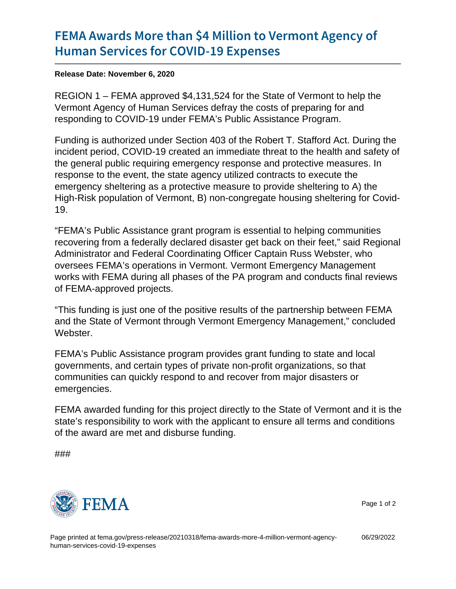## [FEMA Awards More than \\$4 Million](https://www.fema.gov/press-release/20210318/fema-awards-more-4-million-vermont-agency-human-services-covid-19-expenses) to Verr [Human Services for COV](https://www.fema.gov/press-release/20210318/fema-awards-more-4-million-vermont-agency-human-services-covid-19-expenses)ID-19 Expenses

Release Date: November 6, 2020

REGION 1 – FEMA approved \$4,131,524 for the State of Vermont to help the Vermont Agency of Human Services defray the costs of preparing for and responding to COVID-19 under FEMA's Public Assistance Program.

Funding is authorized under Section 403 of the Robert T. Stafford Act. During the incident period, COVID-19 created an immediate threat to the health and safety of the general public requiring emergency response and protective measures. In response to the event, the state agency utilized contracts to execute the emergency sheltering as a protective measure to provide sheltering to A) the High-Risk population of Vermont, B) non-congregate housing sheltering for Covid-19.

"FEMA's Public Assistance grant program is essential to helping communities recovering from a federally declared disaster get back on their feet," said Regional Administrator and Federal Coordinating Officer Captain Russ Webster, who oversees FEMA's operations in Vermont. Vermont Emergency Management works with FEMA during all phases of the PA program and conducts final reviews of FEMA-approved projects.

"This funding is just one of the positive results of the partnership between FEMA and the State of Vermont through Vermont Emergency Management," concluded Webster.

FEMA's Public Assistance program provides grant funding to state and local governments, and certain types of private non-profit organizations, so that communities can quickly respond to and recover from major disasters or emergencies.

FEMA awarded funding for this project directly to the State of Vermont and it is the state's responsibility to work with the applicant to ensure all terms and conditions of the award are met and disburse funding.

###



Page 1 of 2